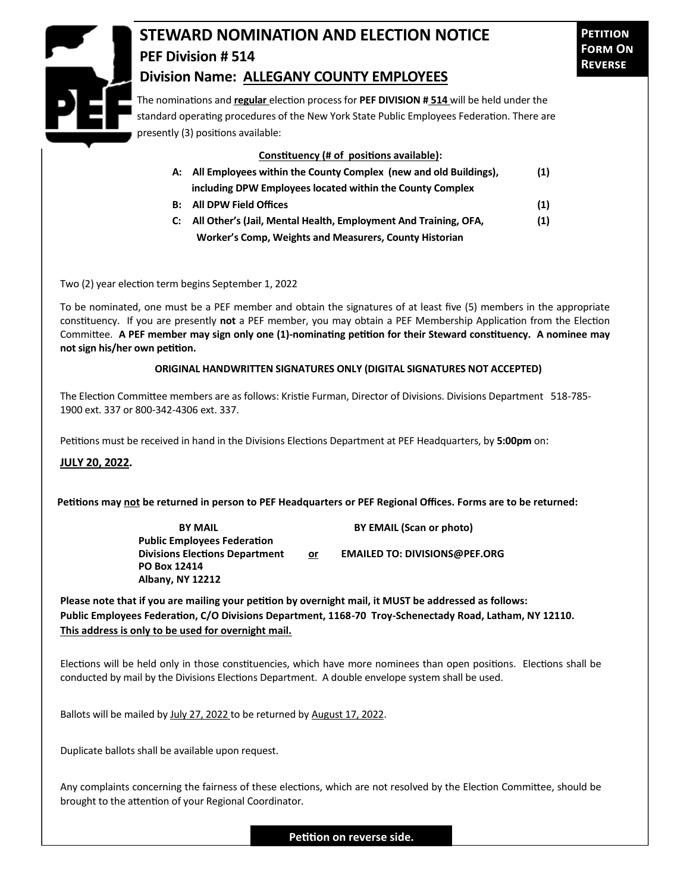

## **STEWARD NOMINATION AND ELECTION NOTICE PEF Division # 514 Division Name: ALLEGANY COUNTY EMPLOYEES**

The nominations and **regular** election process for **PEF DIVISION # 514** will be held under the standard operating procedures of the New York State Public Employees Federation. There are presently (3) positions available:

## **Constituency (# of positions available):**

| A: All Employees within the County Complex (new and old Buildings), | (1) |
|---------------------------------------------------------------------|-----|
| including DPW Employees located within the County Complex           |     |
| <b>B:</b> All DPW Field Offices                                     | (1) |
| C: All Other's (Jail, Mental Health, Employment And Training, OFA,  | (1) |

 **Worker's Comp, Weights and Measurers, County Historian** 

Two (2) year election term begins September 1, 2022

To be nominated, one must be a PEF member and obtain the signatures of at least five (5) members in the appropriate constituency. If you are presently **not** a PEF member, you may obtain a PEF Membership Application from the Election Committee. **A PEF member may sign only one (1)-nominating petition for their Steward constituency. A nominee may not sign his/her own petition.**

## **ORIGINAL HANDWRITTEN SIGNATURES ONLY (DIGITAL SIGNATURES NOT ACCEPTED)**

The Election Committee members are as follows: Kristie Furman, Director of Divisions. Divisions Department 518-785- 1900 ext. 337 or 800-342-4306 ext. 337.

Petitions must be received in hand in the Divisions Elections Department at PEF Headquarters, by **5:00pm** on:

## **JULY 20, 2022.**

**Petitions may not be returned in person to PEF Headquarters or PEF Regional Offices. Forms are to be returned:**

**Public Employees Federation PO Box 12414 Albany, NY 12212**

**BY MAIL BY EMAIL (Scan or photo)** 

**Divisions Elections Department or EMAILED TO: DIVISIONS@PEF.ORG**

**Please note that if you are mailing your petition by overnight mail, it MUST be addressed as follows: Public Employees Federation, C/O Divisions Department, 1168-70 Troy-Schenectady Road, Latham, NY 12110. This address is only to be used for overnight mail.**

Elections will be held only in those constituencies, which have more nominees than open positions. Elections shall be conducted by mail by the Divisions Elections Department. A double envelope system shall be used.

Ballots will be mailed by July 27, 2022 to be returned by August 17, 2022.

Duplicate ballots shall be available upon request.

Any complaints concerning the fairness of these elections, which are not resolved by the Election Committee, should be brought to the attention of your Regional Coordinator.

**Petition on reverse side.**